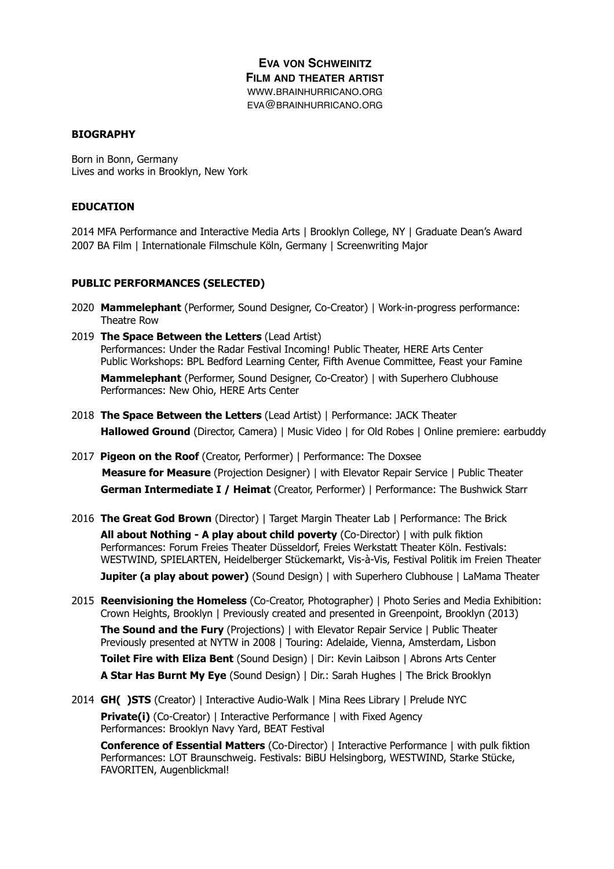# **EVA VON SCHWEINITZ FILM AND THEATER ARTIST** WWW.BRAINHURRICANO.ORG EVA@BRAINHURRICANO.ORG

#### **BIOGRAPHY**

Born in Bonn, Germany Lives and works in Brooklyn, New York

#### **EDUCATION**

2014 MFA Performance and Interactive Media Arts | Brooklyn College, NY | Graduate Dean's Award 2007 BA Film | Internationale Filmschule Köln, Germany | Screenwriting Major

#### **PUBLIC PERFORMANCES (SELECTED)**

- 2020 **Mammelephant** (Performer, Sound Designer, Co-Creator) | Work-in-progress performance: Theatre Row
- 2019 **The Space Between the Letters** (Lead Artist) Performances: Under the Radar Festival Incoming! Public Theater, HERE Arts Center Public Workshops: BPL Bedford Learning Center, Fifth Avenue Committee, Feast your Famine **Mammelephant** (Performer, Sound Designer, Co-Creator) | with Superhero Clubhouse Performances: New Ohio, HERE Arts Center
- 2018 **The Space Between the Letters** (Lead Artist) | Performance: JACK Theater **Hallowed Ground** (Director, Camera) | Music Video | for Old Robes | Online premiere: earbuddy
- 2017 **Pigeon on the Roof** (Creator, Performer) | Performance: The Doxsee  **Measure for Measure** (Projection Designer) | with Elevator Repair Service | Public Theater **German Intermediate I / Heimat** (Creator, Performer) | Performance: The Bushwick Starr
- 2016 **The Great God Brown** (Director) | Target Margin Theater Lab | Performance: The Brick **All about Nothing - A play about child poverty** (Co-Director) | with pulk fiktion Performances: Forum Freies Theater Düsseldorf, Freies Werkstatt Theater Köln. Festivals: WESTWIND, SPIELARTEN, Heidelberger Stückemarkt, Vis-à-Vis, Festival Politik im Freien Theater **Jupiter (a play about power)** (Sound Design) | with Superhero Clubhouse | LaMama Theater
- 2015 **Reenvisioning the Homeless** (Co-Creator, Photographer) | Photo Series and Media Exhibition: Crown Heights, Brooklyn | Previously created and presented in Greenpoint, Brooklyn (2013) **The Sound and the Fury** (Projections) | with Elevator Repair Service | Public Theater Previously presented at NYTW in 2008 | Touring: Adelaide, Vienna, Amsterdam, Lisbon **Toilet Fire with Eliza Bent** (Sound Design) | Dir: Kevin Laibson | Abrons Arts Center **A Star Has Burnt My Eye** (Sound Design) | Dir.: Sarah Hughes | The Brick Brooklyn
- 2014 **GH( )STS** (Creator) | Interactive Audio-Walk | Mina Rees Library | Prelude NYC **Private(i)** (Co-Creator) | Interactive Performance | with Fixed Agency Performances: Brooklyn Navy Yard, BEAT Festival

**Conference of Essential Matters** (Co-Director) | Interactive Performance | with pulk fiktion Performances: LOT Braunschweig. Festivals: BiBU Helsingborg, WESTWIND, Starke Stücke, FAVORITEN, Augenblickmal!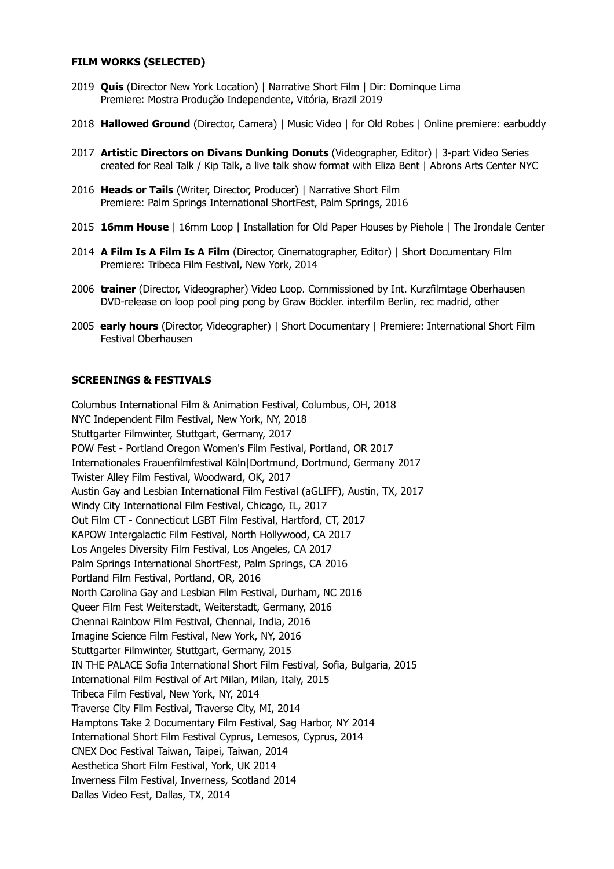#### **FILM WORKS (SELECTED)**

- 2019 **Quis** (Director New York Location) | Narrative Short Film | Dir: Dominque Lima Premiere: Mostra Produção Independente, Vitória, Brazil 2019
- 2018 **Hallowed Ground** (Director, Camera) | Music Video | for Old Robes | Online premiere: earbuddy
- 2017 **Artistic Directors on Divans Dunking Donuts** (Videographer, Editor) | 3-part Video Series created for Real Talk / Kip Talk, a live talk show format with Eliza Bent | Abrons Arts Center NYC
- 2016 **Heads or Tails** (Writer, Director, Producer) | Narrative Short Film Premiere: Palm Springs International ShortFest, Palm Springs, 2016
- 2015 **16mm House** | 16mm Loop | Installation for Old Paper Houses by Piehole | The Irondale Center
- 2014 **A Film Is A Film Is A Film** (Director, Cinematographer, Editor) | Short Documentary Film Premiere: Tribeca Film Festival, New York, 2014
- 2006 **trainer** (Director, Videographer) Video Loop. Commissioned by Int. Kurzfilmtage Oberhausen DVD-release on loop pool ping pong by Graw Böckler. interfilm Berlin, rec madrid, other
- 2005 **early hours** (Director, Videographer) | Short Documentary | Premiere: International Short Film Festival Oberhausen

#### **SCREENINGS & FESTIVALS**

Columbus International Film & Animation Festival, Columbus, OH, 2018 NYC Independent Film Festival, New York, NY, 2018 Stuttgarter Filmwinter, Stuttgart, Germany, 2017 POW Fest - Portland Oregon Women's Film Festival, Portland, OR 2017 Internationales Frauenfilmfestival Köln|Dortmund, Dortmund, Germany 2017 Twister Alley Film Festival, Woodward, OK, 2017 Austin Gay and Lesbian International Film Festival (aGLIFF), Austin, TX, 2017 Windy City International Film Festival, Chicago, IL, 2017 Out Film CT - Connecticut LGBT Film Festival, Hartford, CT, 2017 KAPOW Intergalactic Film Festival, North Hollywood, CA 2017 Los Angeles Diversity Film Festival, Los Angeles, CA 2017 Palm Springs International ShortFest, Palm Springs, CA 2016 Portland Film Festival, Portland, OR, 2016 North Carolina Gay and Lesbian Film Festival, Durham, NC 2016 Queer Film Fest Weiterstadt, Weiterstadt, Germany, 2016 Chennai Rainbow Film Festival, Chennai, India, 2016 Imagine Science Film Festival, New York, NY, 2016 Stuttgarter Filmwinter, Stuttgart, Germany, 2015 IN THE PALACE Sofia International Short Film Festival, Sofia, Bulgaria, 2015 International Film Festival of Art Milan, Milan, Italy, 2015 Tribeca Film Festival, New York, NY, 2014 Traverse City Film Festival, Traverse City, MI, 2014 Hamptons Take 2 Documentary Film Festival, Sag Harbor, NY 2014 International Short Film Festival Cyprus, Lemesos, Cyprus, 2014 CNEX Doc Festival Taiwan, Taipei, Taiwan, 2014 Aesthetica Short Film Festival, York, UK 2014 Inverness Film Festival, Inverness, Scotland 2014 Dallas Video Fest, Dallas, TX, 2014